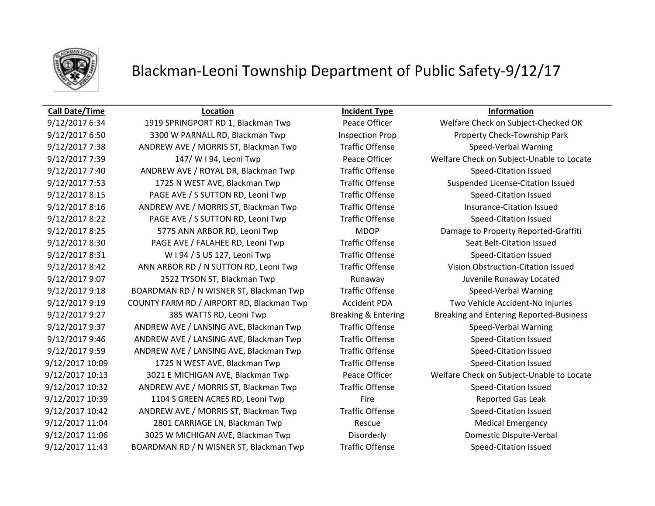

## Blackman-Leoni Township Department of Public Safety-9/12/17

### **Call Date/Time Location Incident Type Information**

9/12/2017 6:50 3300 W PARNALL RD, Blackman Twp Inspection Prop Property Check-Township Park 9/12/2017 7:38 ANDREW AVE / MORRIS ST, Blackman Twp Traffic Offense Speed-Verbal Warning 9/12/2017 7:39 147/ W I 94, Leoni Twp Peace Officer Welfare Check on Subject-Unable to Locate 9/12/2017 7:40 ANDREW AVE / ROYAL DR, Blackman Twp Traffic Offense Speed-Citation Issued 9/12/2017 7:53 1725 N WEST AVE, Blackman Twp Traffic Offense Suspended License-Citation Issued 9/12/2017 8:15 PAGE AVE / S SUTTON RD, Leoni Twp Traffic Offense Speed-Citation Issued 9/12/2017 8:16 ANDREW AVE / MORRIS ST, Blackman Twp Traffic Offense Insurance-Citation Issued 9/12/2017 8:22 PAGE AVE / S SUTTON RD, Leoni Twp Traffic Offense Speed-Citation Issued 9/12/2017 8:25 5775 ANN ARBOR RD, Leoni Twp MDOP Damage to Property Reported-Graffiti 9/12/2017 8:30 PAGE AVE / FALAHEE RD, Leoni Twp Traffic Offense Seat Belt-Citation Issued 9/12/2017 8:31 W I 94 / S US 127, Leoni Twp Traffic Offense Speed-Citation Issued 9/12/2017 8:42 ANN ARBOR RD / N SUTTON RD, Leoni Twp Traffic Offense Vision Obstruction-Citation Issued 9/12/2017 9:07 2522 TYSON ST, Blackman Twp Runaway Juvenile Runaway Located 9/12/2017 9:18 BOARDMAN RD / N WISNER ST, Blackman Twp Traffic Offense Speed-Verbal Warning 9/12/2017 9:19 COUNTY FARM RD / AIRPORT RD, Blackman Twp Accident PDA Two Vehicle Accident-No Injuries 9/12/2017 9:27 385 WATTS RD, Leoni Twp Breaking & Entering Breaking and Entering Reported-Business 9/12/2017 9:37 ANDREW AVE / LANSING AVE, Blackman Twp Traffic Offense Speed-Verbal Warning 9/12/2017 9:46 ANDREW AVE / LANSING AVE, Blackman Twp Traffic Offense Speed-Citation Issued 9/12/2017 9:59 ANDREW AVE / LANSING AVE, Blackman Twp Traffic Offense Speed-Citation Issued 9/12/2017 10:09 1725 N WEST AVE, Blackman Twp Traffic Offense Speed-Citation Issued 9/12/2017 10:13 3021 E MICHIGAN AVE, Blackman Twp Peace Officer Welfare Check on Subject-Unable to Locate 9/12/2017 10:32 ANDREW AVE / MORRIS ST, Blackman Twp Traffic Offense Speed-Citation Issued 9/12/2017 10:39 1104 S GREEN ACRES RD, Leoni Twp Fire Fire Reported Gas Leak 9/12/2017 10:42 ANDREW AVE / MORRIS ST, Blackman Twp Traffic Offense Speed-Citation Issued 9/12/2017 11:04 2801 CARRIAGE LN, Blackman Twp Rescue Rescue Medical Emergency 9/12/2017 11:06 3025 W MICHIGAN AVE, Blackman Twp Disorderly Disorderly Domestic Dispute-Verbal 9/12/2017 11:43 BOARDMAN RD / N WISNER ST, Blackman Twp Traffic Offense Speed-Citation Issued

9/12/2017 6:34 1919 SPRINGPORT RD 1, Blackman Twp Peace Officer Welfare Check on Subject-Checked OK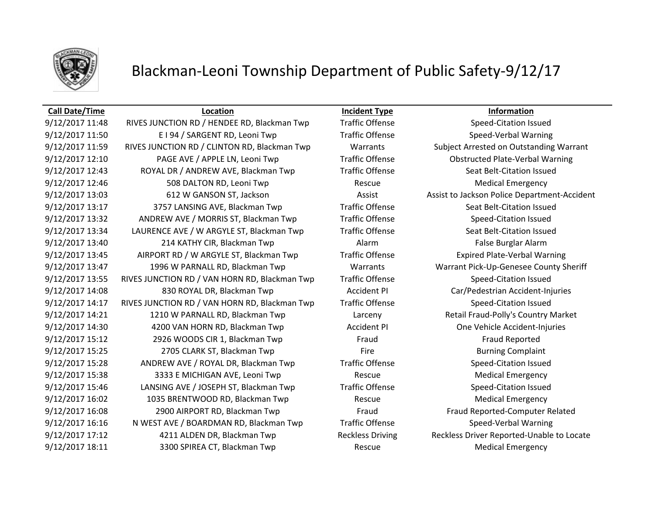

## Blackman-Leoni Township Department of Public Safety-9/12/17

### **Call Date/Time Location Incident Type Information**

9/12/2017 11:48 RIVES JUNCTION RD / HENDEE RD, Blackman Twp Traffic Offense Speed-Citation Issued 9/12/2017 11:50 E I 94 / SARGENT RD, Leoni Twp Traffic Offense Speed-Verbal Warning 9/12/2017 11:59 RIVES JUNCTION RD / CLINTON RD, Blackman Twp Warrants Subject Arrested on Outstanding Warrant 9/12/2017 12:10 PAGE AVE / APPLE LN, Leoni Twp Traffic Offense Obstructed Plate-Verbal Warning 9/12/2017 12:43 ROYAL DR / ANDREW AVE, Blackman Twp Traffic Offense Seat Belt-Citation Issued 9/12/2017 12:46 508 DALTON RD, Leoni Twp Rescue Rescue Medical Emergency 9/12/2017 13:03 612 W GANSON ST, Jackson Assist Assist Assist to Jackson Police Department-Accident 9/12/2017 13:17 3757 LANSING AVE, Blackman Twp Traffic Offense Seat Belt-Citation Issued 9/12/2017 13:32 ANDREW AVE / MORRIS ST, Blackman Twp Traffic Offense Speed-Citation Issued 9/12/2017 13:34 LAURENCE AVE / W ARGYLE ST, Blackman Twp Traffic Offense Seat Belt-Citation Issued 9/12/2017 13:40 214 KATHY CIR, Blackman Twp Alarm Alarm Alarm False Burglar Alarm 9/12/2017 13:45 AIRPORT RD / W ARGYLE ST, Blackman Twp Traffic Offense Expired Plate-Verbal Warning 9/12/2017 13:47 1996 W PARNALL RD, Blackman Twp Warrants Warrant Pick-Up-Genesee County Sheriff 9/12/2017 13:55 RIVES JUNCTION RD / VAN HORN RD, Blackman Twp Traffic Offense Speed-Citation Issued 9/12/2017 14:08 830 ROYAL DR, Blackman Twp Accident PI Car/Pedestrian Accident-Injuries 9/12/2017 14:17 RIVES JUNCTION RD / VAN HORN RD, Blackman Twp Traffic Offense Speed-Citation Issued 9/12/2017 14:21 1210 W PARNALL RD, Blackman Twp Larceny Retail Fraud-Polly's Country Market 9/12/2017 14:30 4200 VAN HORN RD, Blackman Twp **Accident PI** One Vehicle Accident-Injuries 9/12/2017 15:12 2926 WOODS CIR 1, Blackman Twp Fraud Fraud Fraud Fraud Reported 9/12/2017 15:25 2705 CLARK ST, Blackman Twp Fire Fire Burning Complaint 9/12/2017 15:28 ANDREW AVE / ROYAL DR, Blackman Twp Traffic Offense Speed-Citation Issued 9/12/2017 15:38 3333 E MICHIGAN AVE, Leoni Twp Rescue Rescue Medical Emergency 9/12/2017 15:46 LANSING AVE / JOSEPH ST, Blackman Twp Traffic Offense Speed-Citation Issued 9/12/2017 16:02 1035 BRENTWOOD RD, Blackman Twp Rescue Medical Emergency 9/12/2017 16:08 2900 AIRPORT RD, Blackman Twp Fraud Fraud Fraud Fraud Reported-Computer Related 9/12/2017 16:16 N WEST AVE / BOARDMAN RD, Blackman Twp Traffic Offense Speed-Verbal Warning 9/12/2017 17:12 4211 ALDEN DR, Blackman Twp Reckless Driving Reckless Driver Reported-Unable to Locate 9/12/2017 18:11 3300 SPIREA CT, Blackman Twp Rescue Rescue Medical Emergency